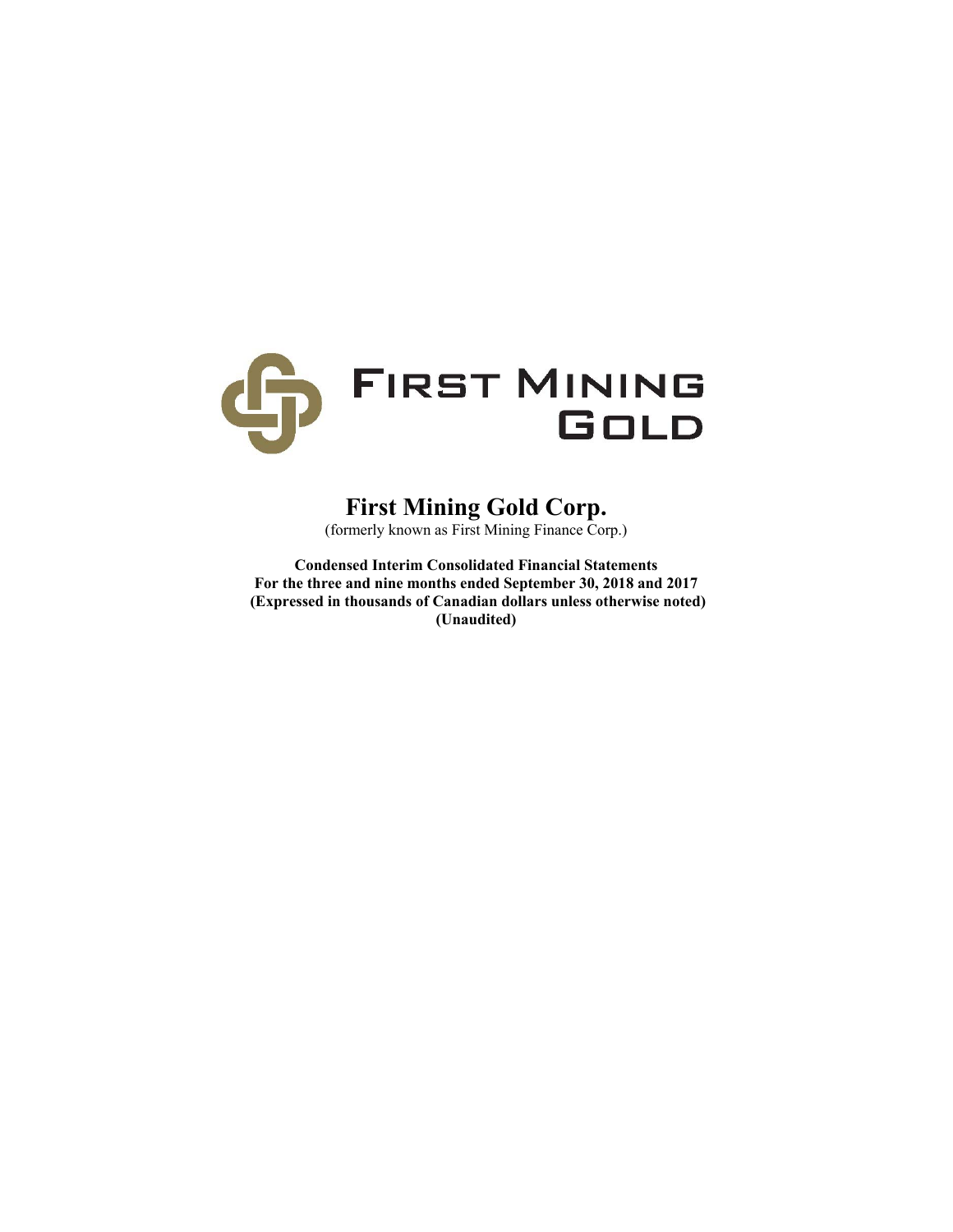

# **First Mining Gold Corp.**

(formerly known as First Mining Finance Corp.)

**Condensed Interim Consolidated Financial Statements For the three and nine months ended September 30, 2018 and 2017 (Expressed in thousands of Canadian dollars unless otherwise noted) (Unaudited)**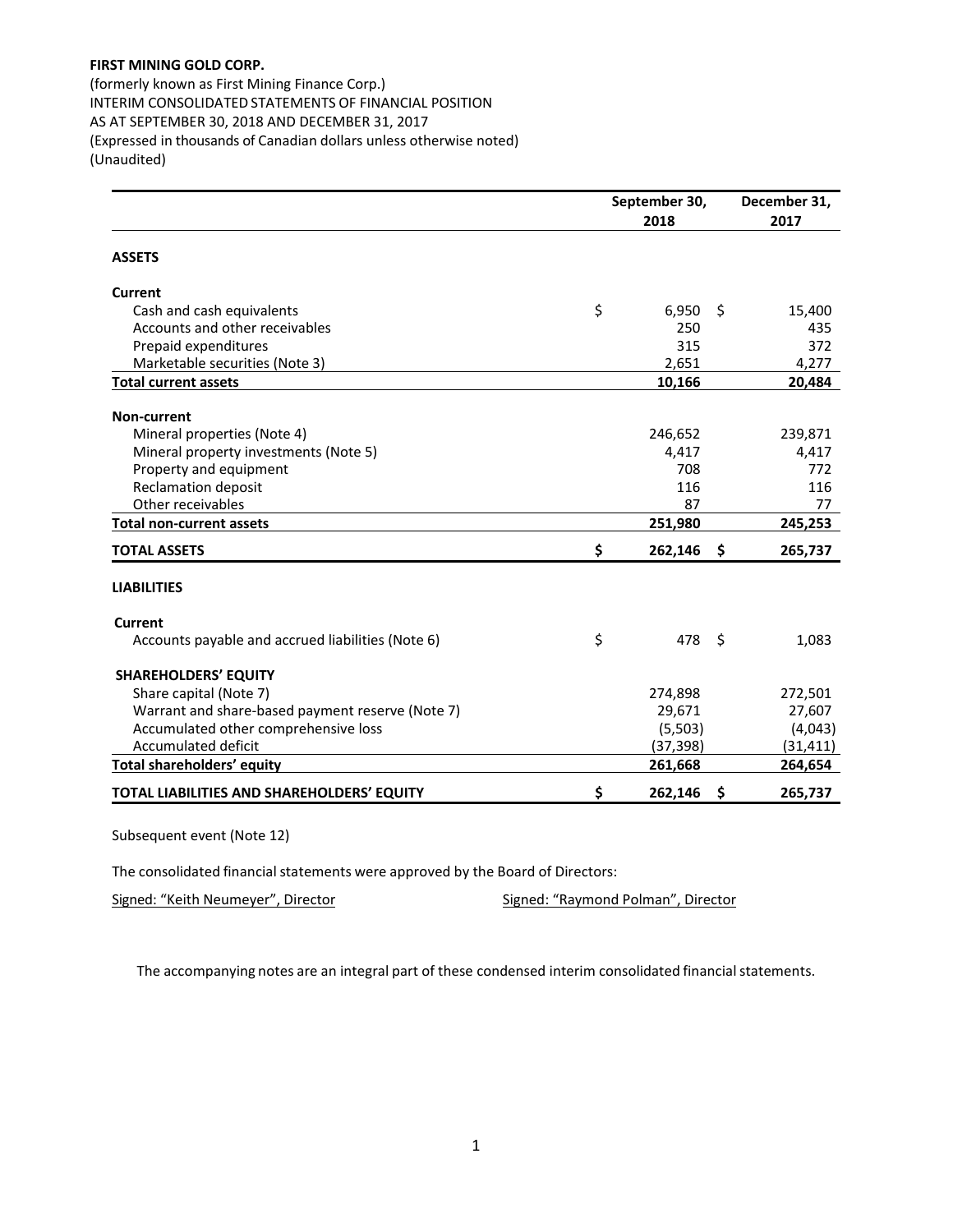(formerly known as First Mining Finance Corp.) INTERIM CONSOLIDATED STATEMENTS OF FINANCIAL POSITION AS AT SEPTEMBER 30, 2018 AND DECEMBER 31, 2017 (Expressed in thousands of Canadian dollars unless otherwise noted) (Unaudited)

| September 30, |           |         | December 31, |
|---------------|-----------|---------|--------------|
|               | 2018      |         | 2017         |
|               |           |         |              |
|               |           |         |              |
| \$            | 6,950     | \$.     | 15,400       |
|               | 250       |         | 435          |
|               | 315       |         | 372          |
|               | 2,651     |         | 4,277        |
|               | 10,166    |         | 20,484       |
|               |           |         |              |
|               |           |         | 239,871      |
|               | 4,417     |         | 4,417        |
|               | 708       |         | 772          |
|               | 116       |         | 116          |
|               | 87        |         | 77           |
|               | 251,980   |         | 245,253      |
| \$            | 262,146   | \$.     | 265,737      |
|               |           |         |              |
|               |           |         |              |
| \$            |           |         | 1,083        |
|               |           |         |              |
|               | 274,898   |         | 272,501      |
|               | 29,671    |         | 27,607       |
|               | (5,503)   |         | (4,043)      |
|               | (37, 398) |         | (31, 411)    |
|               | 261,668   |         | 264,654      |
| \$            | 262,146   | \$      | 265,737      |
|               |           | 246,652 | 478 \$       |

Subsequent event (Note 12)

The consolidated financial statements were approved by the Board of Directors:

Signed: "Keith Neumeyer", Director **Signed: "Raymond Polman"**, Director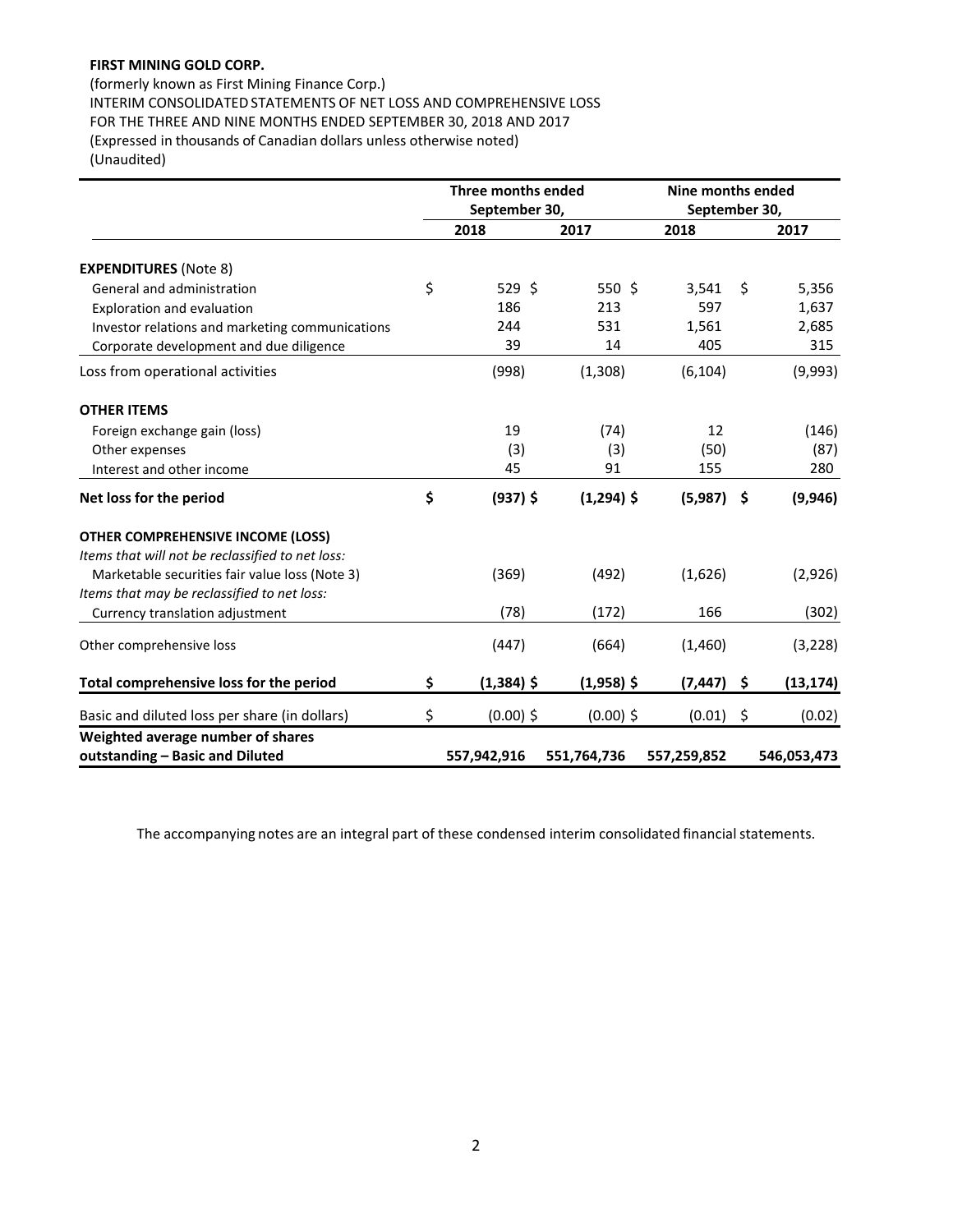(formerly known as First Mining Finance Corp.) INTERIM CONSOLIDATED STATEMENTS OF NET LOSS AND COMPREHENSIVE LOSS FOR THE THREE AND NINE MONTHS ENDED SEPTEMBER 30, 2018 AND 2017 (Expressed in thousands of Canadian dollars unless otherwise noted) (Unaudited)

|                                                  | <b>Three months ended</b><br>September 30, |              |              |               | Nine months ended |             |  |  |
|--------------------------------------------------|--------------------------------------------|--------------|--------------|---------------|-------------------|-------------|--|--|
|                                                  |                                            |              |              | September 30, |                   |             |  |  |
|                                                  |                                            | 2018         | 2017         | 2018          |                   | 2017        |  |  |
| <b>EXPENDITURES</b> (Note 8)                     |                                            |              |              |               |                   |             |  |  |
| General and administration                       | \$                                         | 529 \$       | 550 \$       | 3,541         | Ŝ.                | 5,356       |  |  |
| Exploration and evaluation                       |                                            | 186          | 213          | 597           |                   | 1,637       |  |  |
| Investor relations and marketing communications  |                                            | 244          | 531          | 1,561         |                   | 2,685       |  |  |
| Corporate development and due diligence          |                                            | 39           | 14           | 405           |                   | 315         |  |  |
| Loss from operational activities                 |                                            | (998)        | (1,308)      | (6, 104)      |                   | (9,993)     |  |  |
| <b>OTHER ITEMS</b>                               |                                            |              |              |               |                   |             |  |  |
| Foreign exchange gain (loss)                     |                                            | 19           | (74)         | 12            |                   | (146)       |  |  |
| Other expenses                                   |                                            | (3)          | (3)          | (50)          |                   | (87)        |  |  |
| Interest and other income                        |                                            | 45           | 91           | 155           |                   | 280         |  |  |
| Net loss for the period                          | \$                                         | $(937)$ \$   | $(1,294)$ \$ | (5,987)       | - \$              | (9,946)     |  |  |
| <b>OTHER COMPREHENSIVE INCOME (LOSS)</b>         |                                            |              |              |               |                   |             |  |  |
| Items that will not be reclassified to net loss: |                                            |              |              |               |                   |             |  |  |
| Marketable securities fair value loss (Note 3)   |                                            | (369)        | (492)        | (1,626)       |                   | (2,926)     |  |  |
| Items that may be reclassified to net loss:      |                                            |              |              |               |                   |             |  |  |
| Currency translation adjustment                  |                                            | (78)         | (172)        | 166           |                   | (302)       |  |  |
| Other comprehensive loss                         |                                            | (447)        | (664)        | (1,460)       |                   | (3, 228)    |  |  |
| Total comprehensive loss for the period          | \$                                         | $(1,384)$ \$ | $(1,958)$ \$ | (7, 447)      | \$                | (13, 174)   |  |  |
| Basic and diluted loss per share (in dollars)    | \$                                         | $(0.00)$ \$  | $(0.00)$ \$  | (0.01)        | \$                | (0.02)      |  |  |
| Weighted average number of shares                |                                            |              |              |               |                   |             |  |  |
| outstanding - Basic and Diluted                  |                                            | 557,942,916  | 551,764,736  | 557,259,852   |                   | 546,053,473 |  |  |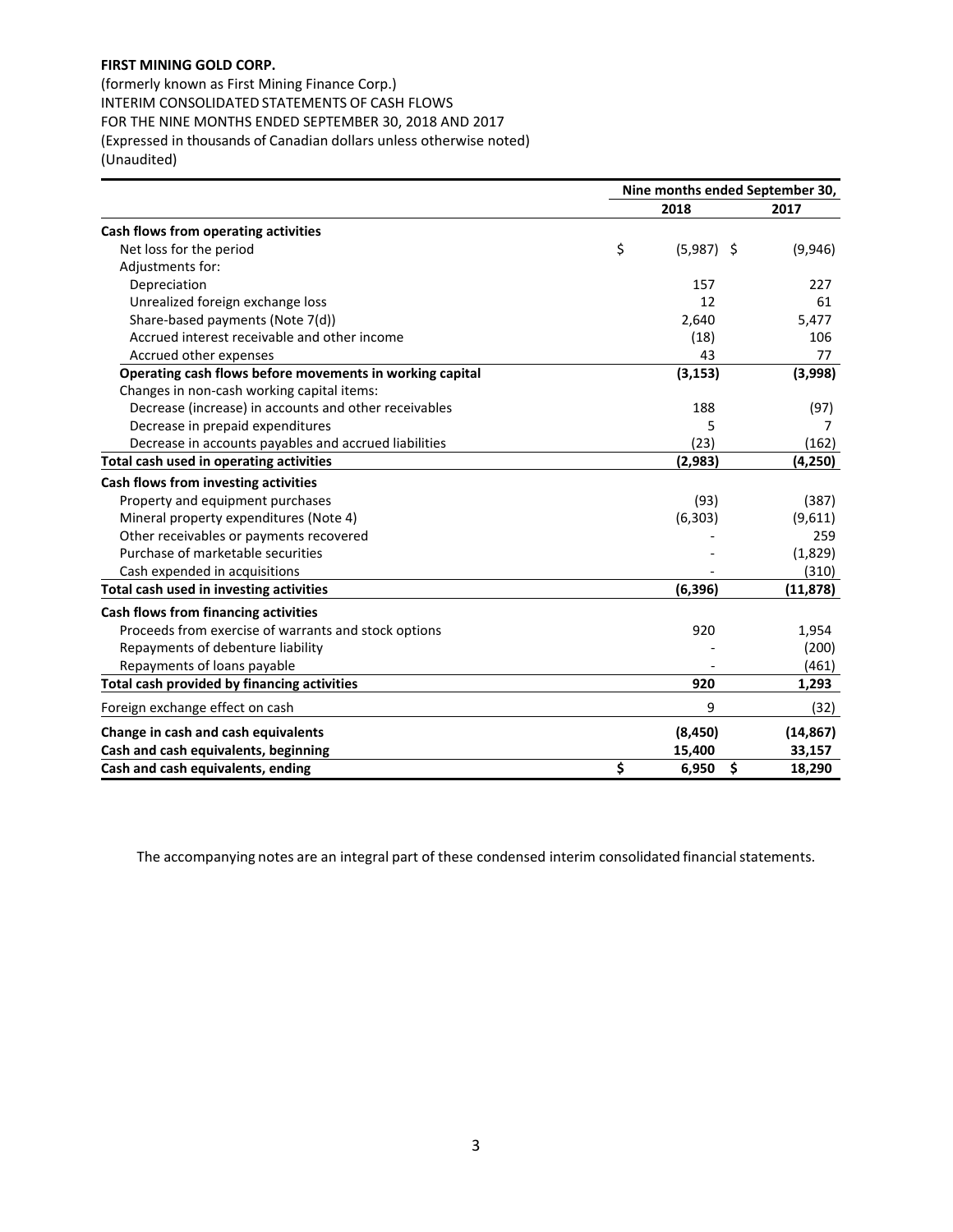(formerly known as First Mining Finance Corp.) INTERIM CONSOLIDATED STATEMENTS OF CASH FLOWS FOR THE NINE MONTHS ENDED SEPTEMBER 30, 2018 AND 2017 (Expressed in thousands of Canadian dollars unless otherwise noted) (Unaudited)

|                                                                                                        | Nine months ended September 30, |              |           |  |
|--------------------------------------------------------------------------------------------------------|---------------------------------|--------------|-----------|--|
|                                                                                                        |                                 | 2018         | 2017      |  |
| Cash flows from operating activities                                                                   |                                 |              |           |  |
| Net loss for the period                                                                                | \$                              | $(5,987)$ \$ | (9,946)   |  |
| Adjustments for:                                                                                       |                                 |              |           |  |
| Depreciation                                                                                           |                                 | 157          | 227       |  |
| Unrealized foreign exchange loss                                                                       |                                 | 12           | 61        |  |
| Share-based payments (Note 7(d))                                                                       |                                 | 2,640        | 5,477     |  |
| Accrued interest receivable and other income                                                           |                                 | (18)         | 106       |  |
| Accrued other expenses                                                                                 |                                 | 43           | 77        |  |
| Operating cash flows before movements in working capital<br>Changes in non-cash working capital items: |                                 | (3, 153)     | (3,998)   |  |
| Decrease (increase) in accounts and other receivables                                                  |                                 | 188          |           |  |
| Decrease in prepaid expenditures                                                                       |                                 | 5            | (97)<br>7 |  |
| Decrease in accounts payables and accrued liabilities                                                  |                                 | (23)         | (162)     |  |
| Total cash used in operating activities                                                                |                                 | (2,983)      | (4, 250)  |  |
|                                                                                                        |                                 |              |           |  |
| Cash flows from investing activities                                                                   |                                 |              |           |  |
| Property and equipment purchases                                                                       |                                 | (93)         | (387)     |  |
| Mineral property expenditures (Note 4)                                                                 |                                 | (6, 303)     | (9,611)   |  |
| Other receivables or payments recovered                                                                |                                 |              | 259       |  |
| Purchase of marketable securities                                                                      |                                 |              | (1,829)   |  |
| Cash expended in acquisitions                                                                          |                                 |              | (310)     |  |
| Total cash used in investing activities                                                                |                                 | (6, 396)     | (11, 878) |  |
| Cash flows from financing activities                                                                   |                                 |              |           |  |
| Proceeds from exercise of warrants and stock options                                                   |                                 | 920          | 1,954     |  |
| Repayments of debenture liability                                                                      |                                 |              | (200)     |  |
| Repayments of loans payable                                                                            |                                 |              | (461)     |  |
| Total cash provided by financing activities                                                            |                                 | 920          | 1,293     |  |
| Foreign exchange effect on cash                                                                        |                                 | 9            | (32)      |  |
| Change in cash and cash equivalents                                                                    |                                 | (8, 450)     | (14, 867) |  |
| Cash and cash equivalents, beginning                                                                   |                                 | 15,400       | 33,157    |  |
| Cash and cash equivalents, ending                                                                      | \$                              | \$<br>6,950  | 18,290    |  |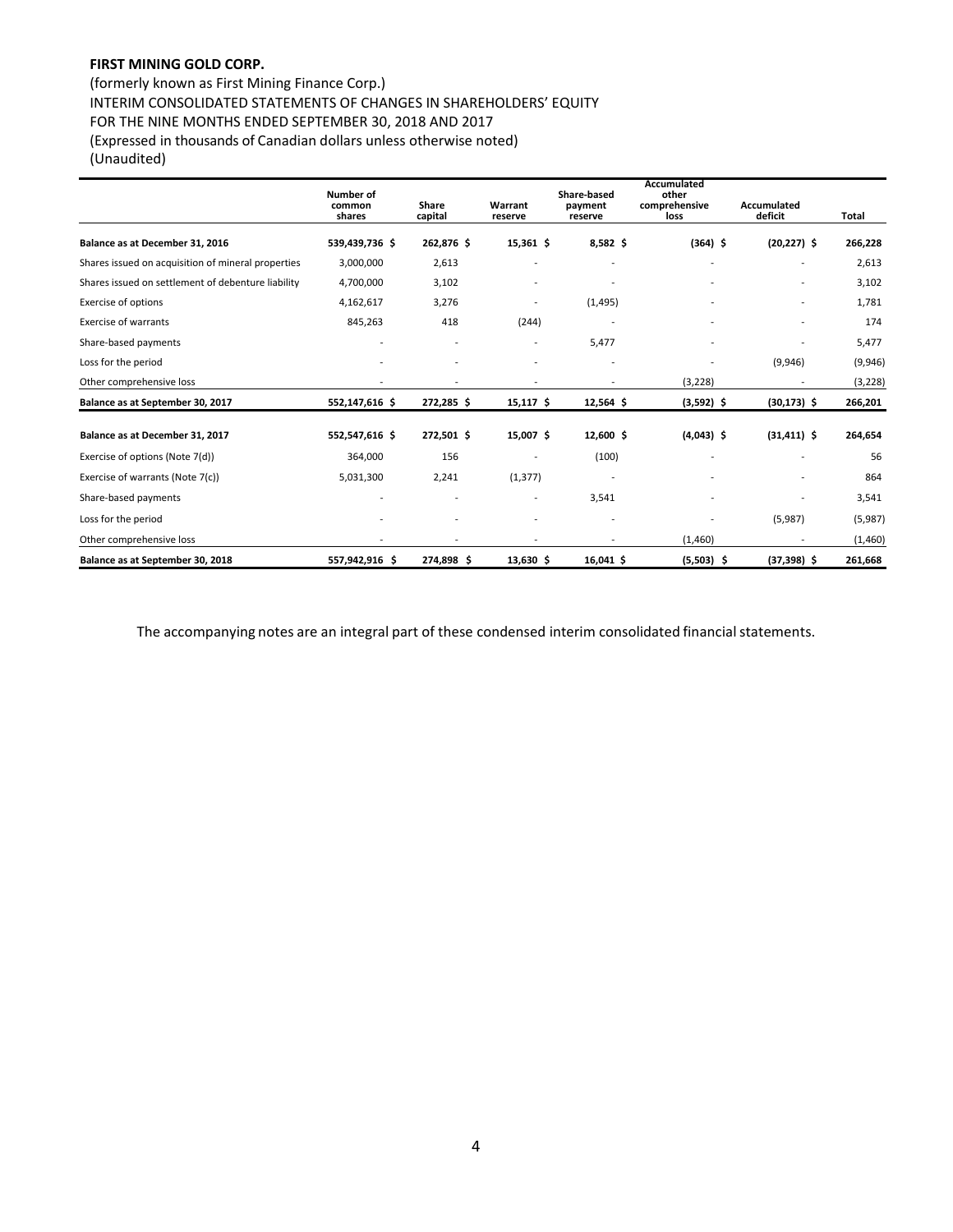# (formerly known as First Mining Finance Corp.) INTERIM CONSOLIDATED STATEMENTS OF CHANGES IN SHAREHOLDERS' EQUITY FOR THE NINE MONTHS ENDED SEPTEMBER 30, 2018 AND 2017 (Expressed in thousands of Canadian dollars unless otherwise noted) (Unaudited)

|                                                    | <b>Number of</b><br>common<br>shares | Share<br>capital | Warrant<br>reserve       | Share-based<br>payment<br>reserve | Accumulated<br>other<br>comprehensive<br>loss | Accumulated<br>deficit | <b>Total</b> |
|----------------------------------------------------|--------------------------------------|------------------|--------------------------|-----------------------------------|-----------------------------------------------|------------------------|--------------|
| Balance as at December 31, 2016                    | 539,439,736 \$                       | 262,876 \$       | $15,361$ \$              | $8,582$ \$                        | $(364)$ \$                                    | $(20, 227)$ \$         | 266,228      |
| Shares issued on acquisition of mineral properties | 3,000,000                            | 2,613            |                          |                                   |                                               | -                      | 2,613        |
| Shares issued on settlement of debenture liability | 4,700,000                            | 3,102            |                          |                                   |                                               |                        | 3,102        |
| <b>Exercise of options</b>                         | 4,162,617                            | 3,276            |                          | (1, 495)                          |                                               |                        | 1,781        |
| <b>Exercise of warrants</b>                        | 845,263                              | 418              | (244)                    |                                   |                                               |                        | 174          |
| Share-based payments                               |                                      |                  | $\overline{\phantom{a}}$ | 5,477                             |                                               |                        | 5,477        |
| Loss for the period                                |                                      |                  |                          |                                   |                                               | (9,946)                | (9,946)      |
| Other comprehensive loss                           |                                      |                  |                          |                                   | (3, 228)                                      |                        | (3, 228)     |
| Balance as at September 30, 2017                   | 552,147,616 \$                       | 272,285\$        | $15,117$ \$              | $12,564$ \$                       | $(3,592)$ \$                                  | $(30, 173)$ \$         | 266,201      |
| Balance as at December 31, 2017                    | 552,547,616 \$                       | 272,501 \$       | 15,007 \$                | 12,600 \$                         | $(4,043)$ \$                                  | $(31, 411)$ \$         | 264,654      |
| Exercise of options (Note 7(d))                    | 364,000                              | 156              |                          | (100)                             |                                               |                        | 56           |
| Exercise of warrants (Note 7(c))                   | 5,031,300                            | 2,241            | (1, 377)                 |                                   |                                               |                        | 864          |
| Share-based payments                               |                                      |                  | $\overline{\phantom{a}}$ | 3,541                             |                                               |                        | 3,541        |
| Loss for the period                                |                                      |                  |                          |                                   |                                               | (5,987)                | (5,987)      |
| Other comprehensive loss                           |                                      | ٠                |                          |                                   | (1,460)                                       |                        | (1,460)      |
| Balance as at September 30, 2018                   | 557,942,916 \$                       | 274,898 \$       | $13,630$ \$              | $16,041$ \$                       | $(5,503)$ \$                                  | $(37,398)$ \$          | 261,668      |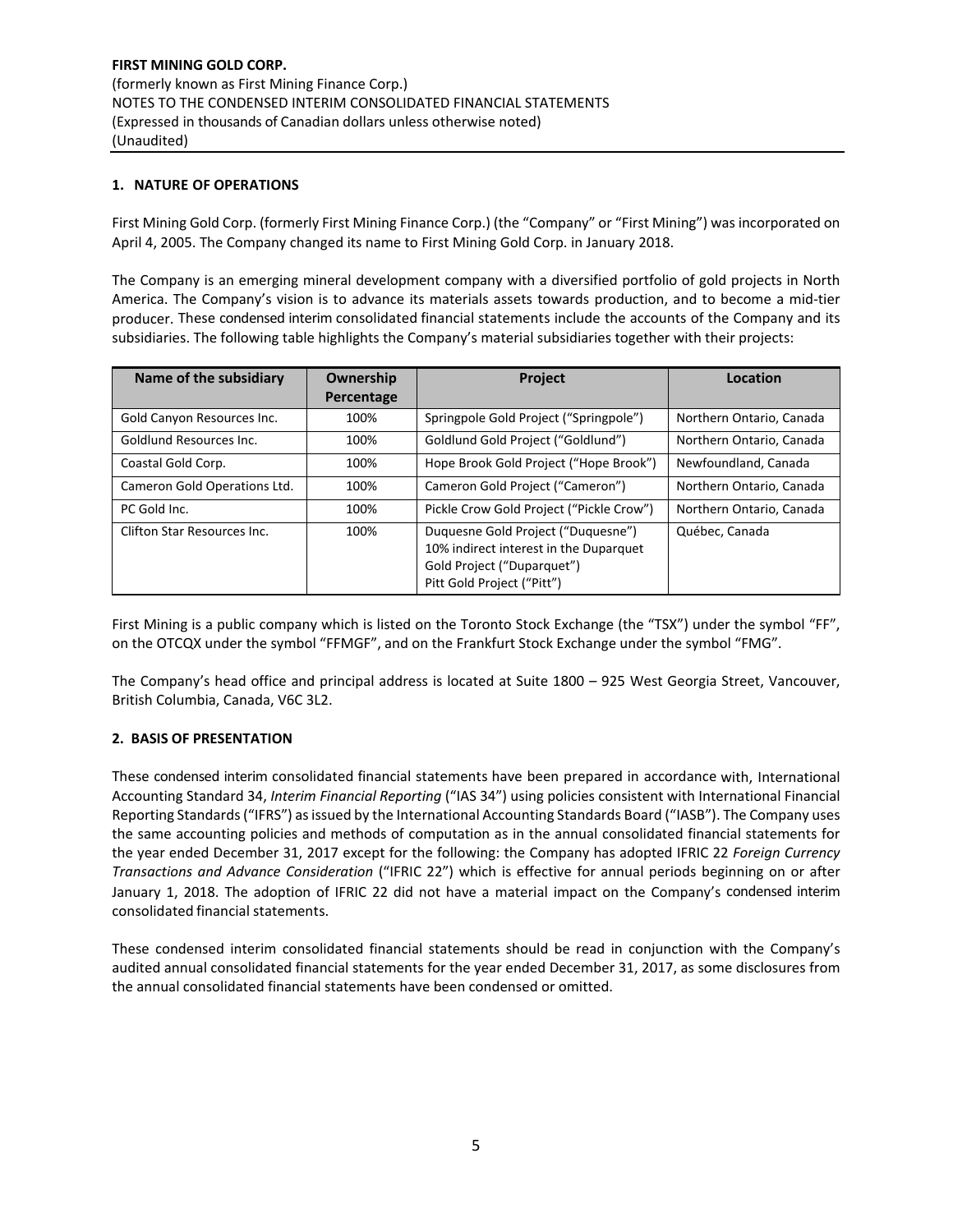# **1. NATURE OF OPERATIONS**

First Mining Gold Corp. (formerly First Mining Finance Corp.) (the "Company" or "First Mining") was incorporated on April 4, 2005. The Company changed its name to First Mining Gold Corp. in January 2018.

The Company is an emerging mineral development company with a diversified portfolio of gold projects in North America. The Company's vision is to advance its materials assets towards production, and to become a mid‐tier producer. These condensed interim consolidated financial statements include the accounts of the Company and its subsidiaries. The following table highlights the Company's material subsidiaries together with their projects:

| Name of the subsidiary       | Ownership  | <b>Project</b>                                                                                                                           | Location                 |
|------------------------------|------------|------------------------------------------------------------------------------------------------------------------------------------------|--------------------------|
|                              | Percentage |                                                                                                                                          |                          |
| Gold Canyon Resources Inc.   | 100%       | Springpole Gold Project ("Springpole")                                                                                                   | Northern Ontario, Canada |
| Goldlund Resources Inc.      | 100%       | Goldlund Gold Project ("Goldlund")                                                                                                       | Northern Ontario, Canada |
| Coastal Gold Corp.           | 100%       | Hope Brook Gold Project ("Hope Brook")                                                                                                   | Newfoundland, Canada     |
| Cameron Gold Operations Ltd. | 100%       | Cameron Gold Project ("Cameron")                                                                                                         | Northern Ontario, Canada |
| PC Gold Inc.                 | 100%       | Pickle Crow Gold Project ("Pickle Crow")                                                                                                 | Northern Ontario, Canada |
| Clifton Star Resources Inc.  | 100%       | Duquesne Gold Project ("Duquesne")<br>10% indirect interest in the Duparquet<br>Gold Project ("Duparquet")<br>Pitt Gold Project ("Pitt") | Québec, Canada           |

First Mining is a public company which is listed on the Toronto Stock Exchange (the "TSX") under the symbol "FF", on the OTCQX under the symbol "FFMGF", and on the Frankfurt Stock Exchange under the symbol "FMG".

The Company's head office and principal address is located at Suite 1800 – 925 West Georgia Street, Vancouver, British Columbia, Canada, V6C 3L2.

# **2. BASIS OF PRESENTATION**

These condensed interim consolidated financial statements have been prepared in accordance with, International Accounting Standard 34, *Interim Financial Reporting* ("IAS 34") using policies consistent with International Financial Reporting Standards ("IFRS") as issued by the International Accounting Standards Board ("IASB"). The Company uses the same accounting policies and methods of computation as in the annual consolidated financial statements for the year ended December 31, 2017 except for the following: the Company has adopted IFRIC 22 *Foreign Currency Transactions and Advance Consideration* ("IFRIC 22") which is effective for annual periods beginning on or after January 1, 2018. The adoption of IFRIC 22 did not have a material impact on the Company's condensed interim consolidated financial statements.

These condensed interim consolidated financial statements should be read in conjunction with the Company's audited annual consolidated financial statements for the year ended December 31, 2017, as some disclosures from the annual consolidated financial statements have been condensed or omitted.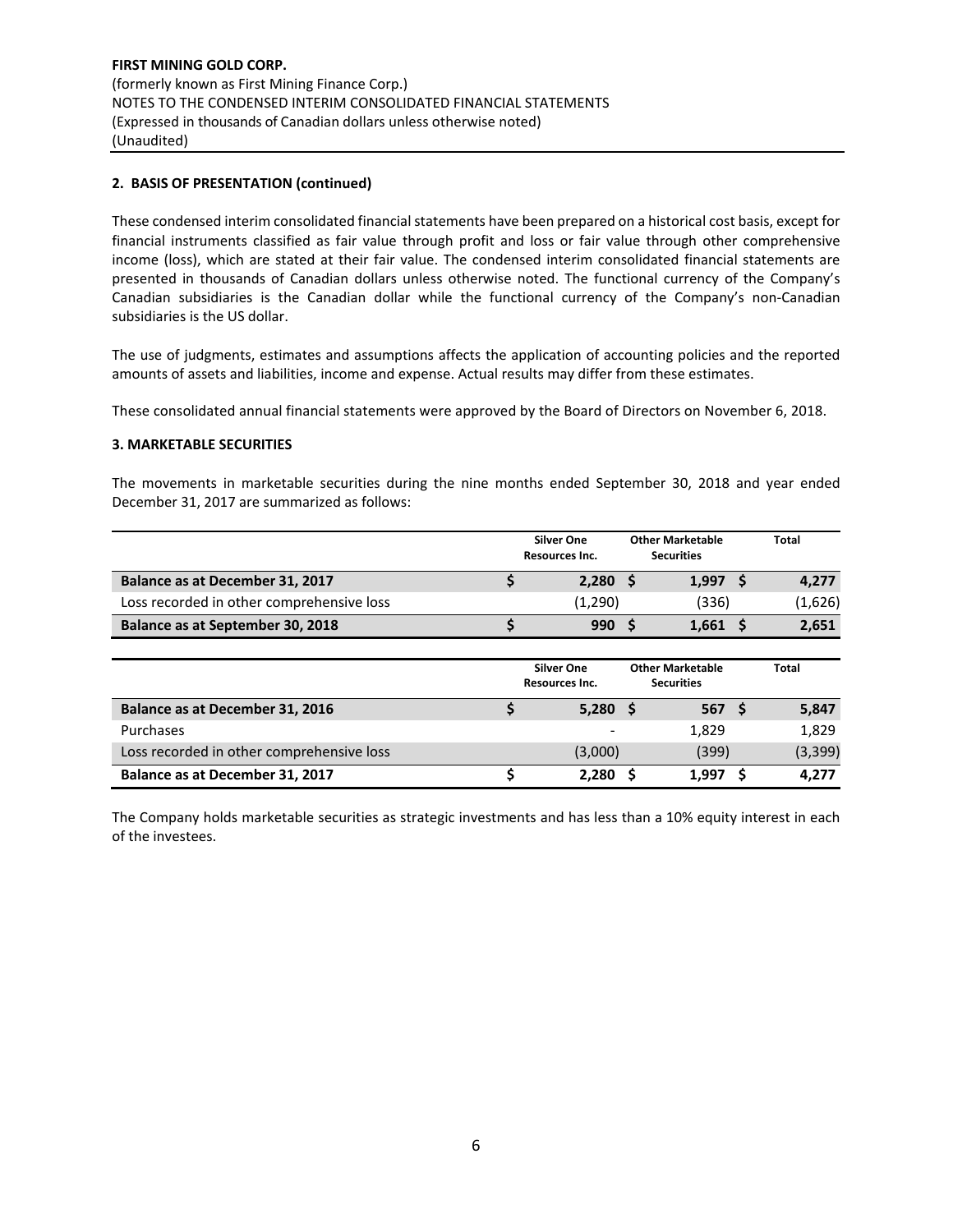# **2. BASIS OF PRESENTATION (continued)**

These condensed interim consolidated financial statements have been prepared on a historical cost basis, except for financial instruments classified as fair value through profit and loss or fair value through other comprehensive income (loss), which are stated at their fair value. The condensed interim consolidated financial statements are presented in thousands of Canadian dollars unless otherwise noted. The functional currency of the Company's Canadian subsidiaries is the Canadian dollar while the functional currency of the Company's non-Canadian subsidiaries is the US dollar.

The use of judgments, estimates and assumptions affects the application of accounting policies and the reported amounts of assets and liabilities, income and expense. Actual results may differ from these estimates.

These consolidated annual financial statements were approved by the Board of Directors on November 6, 2018.

## **3. MARKETABLE SECURITIES**

The movements in marketable securities during the nine months ended September 30, 2018 and year ended December 31, 2017 are summarized as follows:

|                                           | <b>Silver One</b><br>Resources Inc. | <b>Other Marketable</b><br><b>Securities</b> |       | Total   |
|-------------------------------------------|-------------------------------------|----------------------------------------------|-------|---------|
| Balance as at December 31, 2017           | 2,280                               |                                              | 1,997 | 4,277   |
| Loss recorded in other comprehensive loss | (1,290)                             |                                              | (336) | (1,626) |
| Balance as at September 30, 2018          | 990                                 |                                              | 1,661 | 2,651   |
|                                           |                                     |                                              |       |         |
|                                           | <b>Silver One</b>                   | <b>Other Marketable</b>                      |       | Total   |

|                                           | Resources Inc. | <b>Securities</b> |          |
|-------------------------------------------|----------------|-------------------|----------|
| <b>Balance as at December 31, 2016</b>    | $5,280$ \$     | 567 S             | 5,847    |
| Purchases                                 |                | 1.829             | 1,829    |
| Loss recorded in other comprehensive loss | (3,000)        | (399)             | (3, 399) |
| Balance as at December 31, 2017           | 2.280          | 1.997             | 4.277    |

The Company holds marketable securities as strategic investments and has less than a 10% equity interest in each of the investees.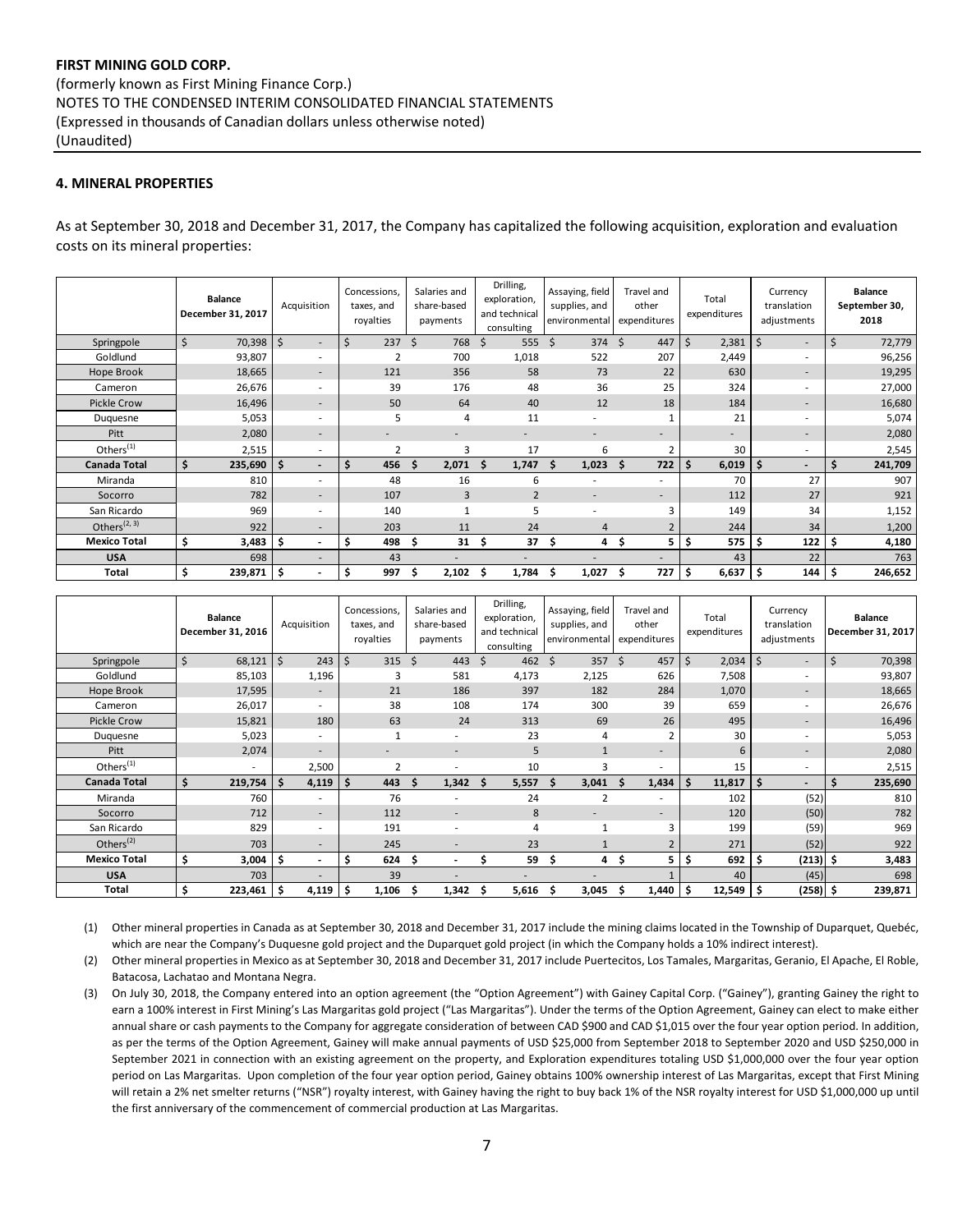# **4. MINERAL PROPERTIES**

As at September 30, 2018 and December 31, 2017, the Company has capitalized the following acquisition, exploration and evaluation costs on its mineral properties:

|                       | <b>Balance</b><br>December 31, 2017 | Acquisition                      | Concessions,<br>taxes, and<br>royalties | Salaries and<br>share-based<br>payments | Drilling,<br>exploration,<br>and technical<br>consulting | Assaying, field<br>supplies, and<br>environmental | Travel and<br>other<br>expenditures | Total<br>expenditures | Currency<br>translation<br>adjustments | <b>Balance</b><br>September 30,<br>2018 |
|-----------------------|-------------------------------------|----------------------------------|-----------------------------------------|-----------------------------------------|----------------------------------------------------------|---------------------------------------------------|-------------------------------------|-----------------------|----------------------------------------|-----------------------------------------|
| Springpole            | \$<br>70,398                        | \$<br>$\overline{\phantom{a}}$   | 237                                     | \$<br>768                               | Ś.<br>555                                                | Ś<br>374                                          | Ŝ.<br>447                           | Ś.<br>2,381           | \$<br>۰.                               | 72,779<br>Ś                             |
| Goldlund              | 93,807                              |                                  | $\overline{2}$                          | 700                                     | 1,018                                                    | 522                                               | 207                                 | 2,449                 | ۰                                      | 96,256                                  |
| Hope Brook            | 18,665                              |                                  | 121                                     | 356                                     | 58                                                       | 73                                                | 22                                  | 630                   | ۰.                                     | 19,295                                  |
| Cameron               | 26,676                              |                                  | 39                                      | 176                                     | 48                                                       | 36                                                | 25                                  | 324                   | ٠                                      | 27,000                                  |
| Pickle Crow           | 16,496                              | $\overline{\phantom{a}}$         | 50                                      | 64                                      | 40                                                       | 12                                                | 18                                  | 184                   | ٠.                                     | 16,680                                  |
| Duquesne              | 5,053                               | ÷.                               | 5                                       | 4                                       | 11                                                       |                                                   |                                     | 21                    | ÷.                                     | 5,074                                   |
| Pitt                  | 2,080                               | $\overline{\phantom{a}}$         |                                         |                                         |                                                          |                                                   |                                     |                       | ۰.                                     | 2,080                                   |
| Others <sup>(1)</sup> | 2,515                               | $\overline{\phantom{a}}$         | $\mathcal{P}$                           | з                                       | 17                                                       | 6                                                 | 2                                   | 30                    | ۰.                                     | 2,545                                   |
| <b>Canada Total</b>   | $235,690$   \$<br>Ŝ.                | $\overline{\phantom{0}}$         | 456<br>s                                | 2,071<br>\$.                            | 1,747<br>Ŝ.                                              | 1,023<br>S                                        | 722<br>S                            | Ś.<br>6,019           | Ŝ.<br>$\qquad \qquad \blacksquare$     | 241,709<br>s                            |
| Miranda               | 810                                 |                                  | 48                                      | 16                                      | 6                                                        |                                                   |                                     | 70                    | 27                                     | 907                                     |
| Socorro               | 782                                 |                                  | 107                                     | $\overline{3}$                          | $\overline{2}$                                           |                                                   |                                     | 112                   | 27                                     | 921                                     |
| San Ricardo           | 969                                 |                                  | 140                                     |                                         | 5                                                        |                                                   | 3                                   | 149                   | 34                                     | 1,152                                   |
| Others $(2, 3)$       | 922                                 |                                  | 203                                     | 11                                      | 24                                                       | 4                                                 |                                     | 244                   | 34                                     | 1,200                                   |
| <b>Mexico Total</b>   | \$<br>3,483                         | 1 \$<br>$\overline{\phantom{0}}$ | 498<br>\$                               | \$.<br>31                               | 37<br>. Ś                                                | Ŝ<br>4                                            | 5<br>Ŝ                              | \$<br>575             | $122$   \$<br>\$.                      | 4,180                                   |
| <b>USA</b>            | 698                                 |                                  | 43                                      |                                         |                                                          |                                                   |                                     | 43                    | 22                                     | 763                                     |
| Total                 | \$<br>$239,871$ \$                  |                                  | 997<br>\$                               | 2,102<br>Ŝ                              | 1,784<br>S                                               | 1,027<br>S                                        | 727<br>Ŝ                            | \$.<br>6,637          | $144 \mid 5$<br>-\$                    | 246,652                                 |

|                     | <b>Balance</b><br>December 31, 2016 | Acquisition              | Concessions,<br>taxes, and<br>royalties | Salaries and<br>share-based<br>payments | Drilling,<br>exploration,<br>and technical<br>consulting | Assaying, field<br>supplies, and<br>environmental | Travel and<br>other<br>expenditures | Total<br>expenditures | Currency<br>translation<br>adjustments | <b>Balance</b><br>December 31, 2017 |
|---------------------|-------------------------------------|--------------------------|-----------------------------------------|-----------------------------------------|----------------------------------------------------------|---------------------------------------------------|-------------------------------------|-----------------------|----------------------------------------|-------------------------------------|
| Springpole          | \$<br>68,121                        | $\mathsf{S}$<br>243      | \$<br>315                               | \$<br>443                               | 462<br>Ŝ                                                 | 357<br>Ś                                          | $\mathsf{S}$<br>457                 | $\zeta$<br>2,034      | S<br>$\sim$                            | \$<br>70,398                        |
| Goldlund            | 85,103                              | 1,196                    | 3                                       | 581                                     | 4,173                                                    | 2,125                                             | 626                                 | 7,508                 | ۰                                      | 93,807                              |
| Hope Brook          | 17,595                              | $\overline{\phantom{a}}$ | 21                                      | 186                                     | 397                                                      | 182                                               | 284                                 | 1,070                 | ٠                                      | 18,665                              |
| Cameron             | 26,017                              |                          | 38                                      | 108                                     | 174                                                      | 300                                               | 39                                  | 659                   | ٠                                      | 26,676                              |
| Pickle Crow         | 15,821                              | 180                      | 63                                      | 24                                      | 313                                                      | 69                                                | 26                                  | 495                   | ۰.                                     | 16,496                              |
| Duquesne            | 5,023                               |                          |                                         | $\overline{\phantom{a}}$                | 23                                                       | 4                                                 |                                     | 30                    | ۰                                      | 5,053                               |
| Pitt                | 2,074                               | $\overline{\phantom{a}}$ | $\overline{\phantom{a}}$                | $\overline{\phantom{a}}$                | 5                                                        | $\mathbf{1}$                                      | $\overline{\phantom{a}}$            | 6                     | н.                                     | 2,080                               |
| Others $(1)$        |                                     | 2,500                    | $\overline{2}$                          |                                         | 10                                                       | 3                                                 | ٠                                   | 15                    | ٠                                      | 2,515                               |
| Canada Total        | Ś<br>219,754                        | -\$<br>4,119             | \$<br>443                               | 1,342<br>Ś                              | 5,557<br>S                                               | Ŝ.<br>3,041                                       | 1,434<br>Ś                          | Ŝ.<br>11,817          | Ś.<br>$\overline{\phantom{a}}$         | Ś.<br>235,690                       |
| Miranda             | 760                                 |                          | 76                                      |                                         | 24                                                       | $\overline{2}$                                    | ٠                                   | 102                   | (52)                                   | 810                                 |
| Socorro             | 712                                 | $\overline{\phantom{a}}$ | 112                                     | $\overline{\phantom{a}}$                | 8                                                        | $\overline{\phantom{a}}$                          | $\overline{\phantom{a}}$            | 120                   | (50)                                   | 782                                 |
| San Ricardo         | 829                                 |                          | 191                                     | $\overline{\phantom{a}}$                | 4                                                        | 1                                                 | 3                                   | 199                   | (59)                                   | 969                                 |
| Others $(2)$        | 703                                 |                          | 245                                     |                                         | 23                                                       |                                                   |                                     | 271                   | (52)                                   | 922                                 |
| <b>Mexico Total</b> | \$<br>3,004                         | ۱\$                      | Ś<br>624                                | Ŝ                                       | 59                                                       | Ŝ<br>4                                            | Ŝ.<br>5.                            | Ŝ.<br>692             | $(213)$ \$<br>\$.                      | 3,483                               |
| <b>USA</b>          | 703                                 |                          | 39                                      |                                         |                                                          |                                                   |                                     | 40                    | (45)                                   | 698                                 |
| Total               | 223,461                             | -\$<br>4,119             | \$<br>1,106                             | 1,342<br>\$                             | 5,616                                                    | 3,045<br>\$                                       | 1,440<br>\$                         | \$<br>12,549          | $(258)$ \$<br>\$.                      | 239,871                             |

(1) Other mineral properties in Canada as at September 30, 2018 and December 31, 2017 include the mining claims located in the Township of Duparquet, Quebéc, which are near the Company's Duquesne gold project and the Duparquet gold project (in which the Company holds a 10% indirect interest).

(2) Other mineral properties in Mexico as at September 30, 2018 and December 31, 2017 include Puertecitos, Los Tamales, Margaritas, Geranio, El Apache, El Roble, Batacosa, Lachatao and Montana Negra.

(3) On July 30, 2018, the Company entered into an option agreement (the "Option Agreement") with Gainey Capital Corp. ("Gainey"), granting Gainey the right to earn a 100% interest in First Mining's Las Margaritas gold project ("Las Margaritas"). Under the terms of the Option Agreement, Gainey can elect to make either annual share or cash payments to the Company for aggregate consideration of between CAD \$900 and CAD \$1,015 over the four year option period. In addition, as per the terms of the Option Agreement, Gainey will make annual payments of USD \$25,000 from September 2018 to September 2020 and USD \$250,000 in September 2021 in connection with an existing agreement on the property, and Exploration expenditures totaling USD \$1,000,000 over the four year option period on Las Margaritas. Upon completion of the four year option period, Gainey obtains 100% ownership interest of Las Margaritas, except that First Mining will retain a 2% net smelter returns ("NSR") royalty interest, with Gainey having the right to buy back 1% of the NSR royalty interest for USD \$1,000,000 up until the first anniversary of the commencement of commercial production at Las Margaritas.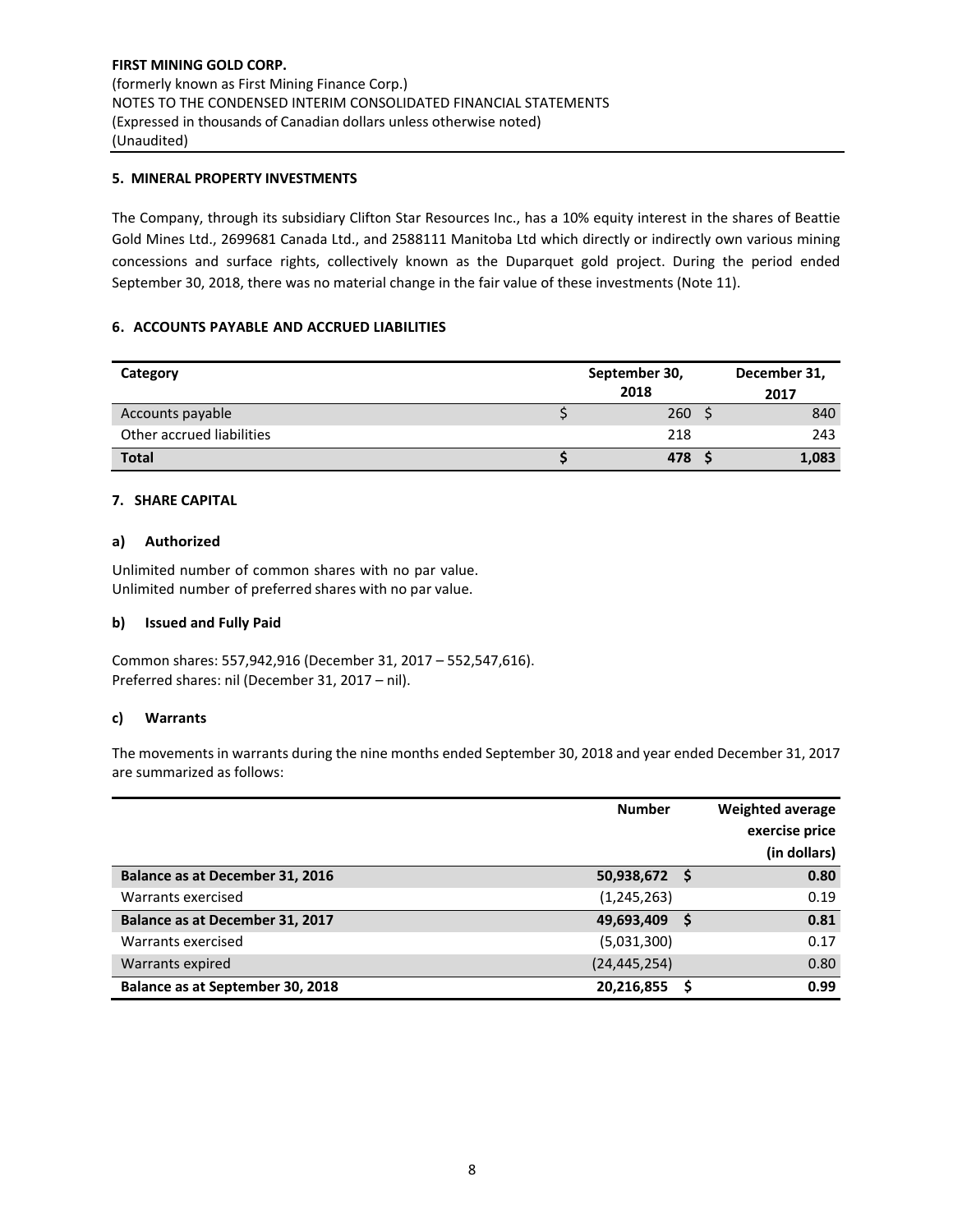# **5. MINERAL PROPERTY INVESTMENTS**

The Company, through its subsidiary Clifton Star Resources Inc., has a 10% equity interest in the shares of Beattie Gold Mines Ltd., 2699681 Canada Ltd., and 2588111 Manitoba Ltd which directly or indirectly own various mining concessions and surface rights, collectively known as the Duparquet gold project. During the period ended September 30, 2018, there was no material change in the fair value of these investments (Note 11).

# **6. ACCOUNTS PAYABLE AND ACCRUED LIABILITIES**

| Category                  | September 30, |       |  |  |  |
|---------------------------|---------------|-------|--|--|--|
|                           | 2018          | 2017  |  |  |  |
| Accounts payable          | 260           | 840   |  |  |  |
| Other accrued liabilities | 218           | 243   |  |  |  |
| <b>Total</b>              | 478           | 1,083 |  |  |  |

## **7. SHARE CAPITAL**

## **a) Authorized**

Unlimited number of common shares with no par value. Unlimited number of preferred shares with no par value.

#### **b) Issued and Fully Paid**

Common shares: 557,942,916 (December 31, 2017 – 552,547,616). Preferred shares: nil (December 31, 2017 – nil).

#### **c) Warrants**

The movements in warrants during the nine months ended September 30, 2018 and year ended December 31, 2017 are summarized as follows:

|                                  | <b>Number</b>  | <b>Weighted average</b><br>exercise price<br>(in dollars) |
|----------------------------------|----------------|-----------------------------------------------------------|
| Balance as at December 31, 2016  | 50,938,672 \$  | 0.80                                                      |
| Warrants exercised               | (1, 245, 263)  | 0.19                                                      |
| Balance as at December 31, 2017  | 49,693,409     | 0.81                                                      |
| Warrants exercised               | (5,031,300)    | 0.17                                                      |
| Warrants expired                 | (24, 445, 254) | 0.80                                                      |
| Balance as at September 30, 2018 | 20,216,855     | 0.99                                                      |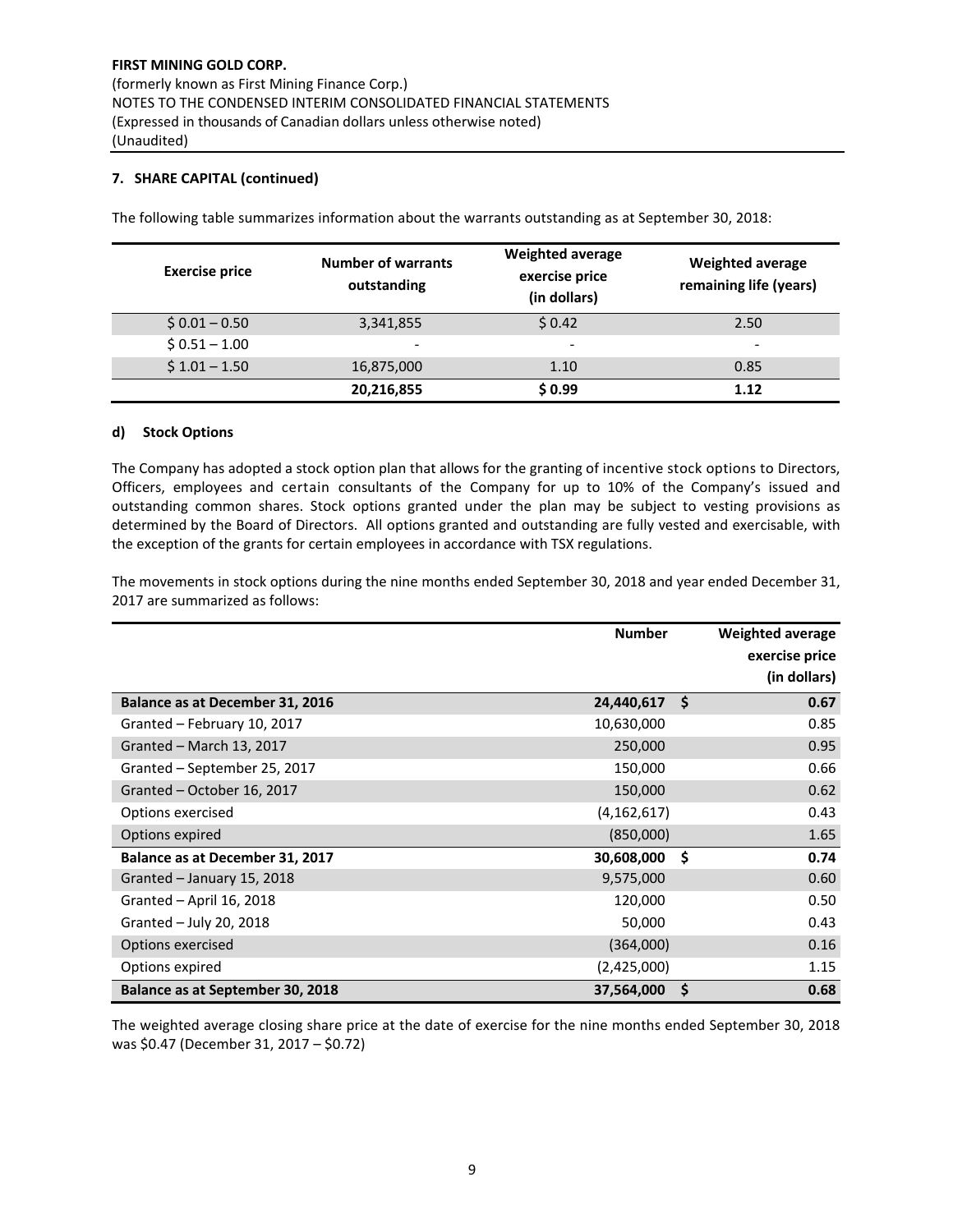# **7. SHARE CAPITAL (continued)**

| <b>Exercise price</b> | <b>Number of warrants</b><br>outstanding | Weighted average<br>exercise price<br>(in dollars) | <b>Weighted average</b><br>remaining life (years) |
|-----------------------|------------------------------------------|----------------------------------------------------|---------------------------------------------------|
| $$0.01 - 0.50$        | 3,341,855                                | \$0.42                                             | 2.50                                              |
| $$0.51 - 1.00$        | $\overline{\phantom{0}}$                 | -                                                  | -                                                 |
| $$1.01 - 1.50$        | 16,875,000                               | 1.10                                               | 0.85                                              |
|                       | 20,216,855                               | \$0.99                                             | 1.12                                              |

The following table summarizes information about the warrants outstanding as at September 30, 2018:

## **d) Stock Options**

The Company has adopted a stock option plan that allows for the granting of incentive stock options to Directors, Officers, employees and certain consultants of the Company for up to 10% of the Company's issued and outstanding common shares. Stock options granted under the plan may be subject to vesting provisions as determined by the Board of Directors. All options granted and outstanding are fully vested and exercisable, with the exception of the grants for certain employees in accordance with TSX regulations.

The movements in stock options during the nine months ended September 30, 2018 and year ended December 31, 2017 are summarized as follows:

|                                  | <b>Number</b> |    | Weighted average |
|----------------------------------|---------------|----|------------------|
|                                  |               |    | exercise price   |
|                                  |               |    | (in dollars)     |
| Balance as at December 31, 2016  | 24,440,617    | Ŝ. | 0.67             |
| Granted - February 10, 2017      | 10,630,000    |    | 0.85             |
| Granted - March 13, 2017         | 250,000       |    | 0.95             |
| Granted - September 25, 2017     | 150,000       |    | 0.66             |
| Granted - October 16, 2017       | 150,000       |    | 0.62             |
| Options exercised                | (4, 162, 617) |    | 0.43             |
| Options expired                  | (850,000)     |    | 1.65             |
| Balance as at December 31, 2017  | 30,608,000    | Ŝ. | 0.74             |
| Granted - January 15, 2018       | 9,575,000     |    | 0.60             |
| Granted - April 16, 2018         | 120,000       |    | 0.50             |
| Granted - July 20, 2018          | 50,000        |    | 0.43             |
| Options exercised                | (364,000)     |    | 0.16             |
| Options expired                  | (2,425,000)   |    | 1.15             |
| Balance as at September 30, 2018 | 37,564,000    | \$ | 0.68             |

The weighted average closing share price at the date of exercise for the nine months ended September 30, 2018 was \$0.47 (December 31, 2017 – \$0.72)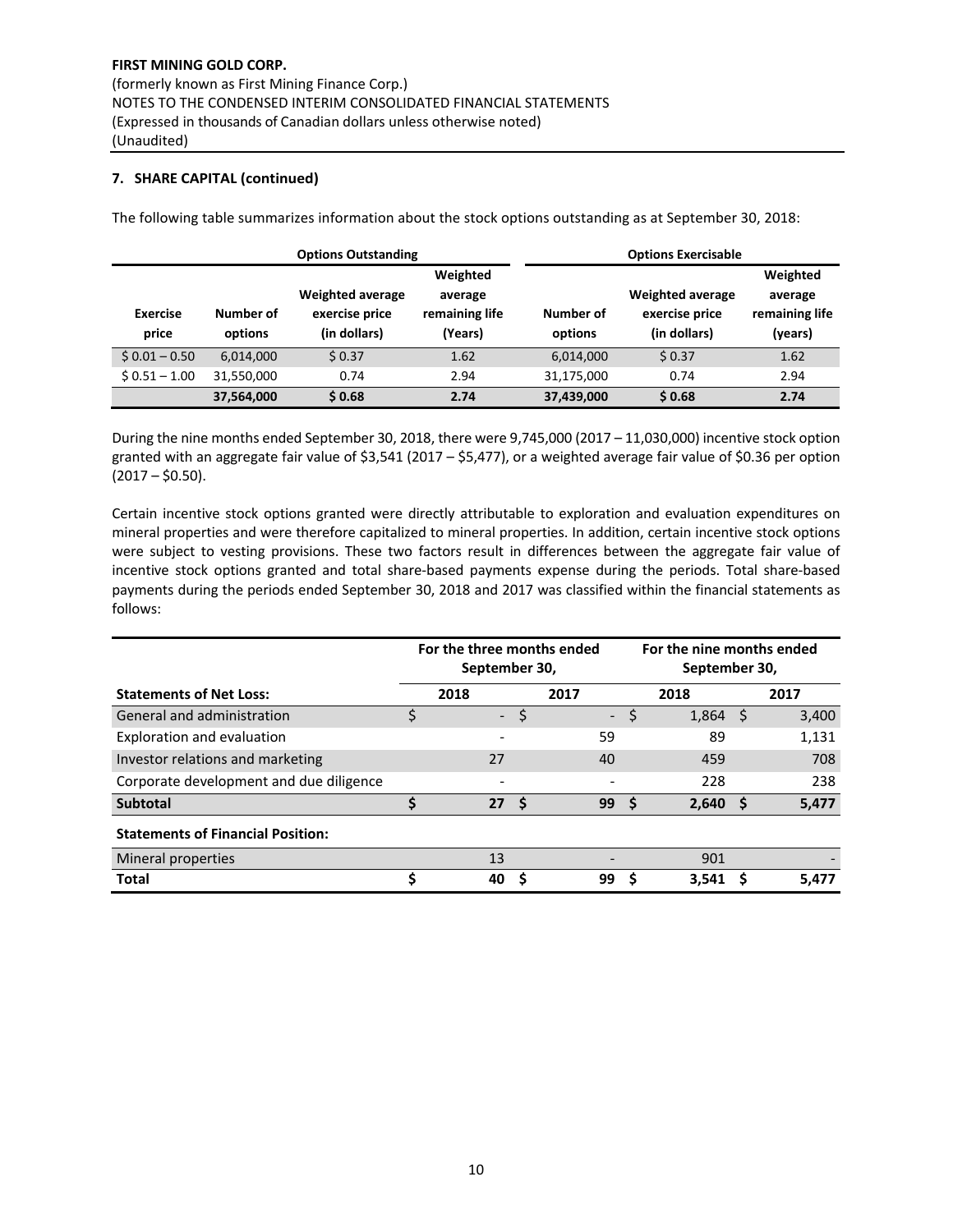# **7. SHARE CAPITAL (continued)**

|                          |                      | <b>Options Outstanding</b>                                | <b>Options Exercisable</b>                       |                      |                                                           |                                                  |  |  |  |
|--------------------------|----------------------|-----------------------------------------------------------|--------------------------------------------------|----------------------|-----------------------------------------------------------|--------------------------------------------------|--|--|--|
| <b>Exercise</b><br>price | Number of<br>options | <b>Weighted average</b><br>exercise price<br>(in dollars) | Weighted<br>average<br>remaining life<br>(Years) | Number of<br>options | <b>Weighted average</b><br>exercise price<br>(in dollars) | Weighted<br>average<br>remaining life<br>(years) |  |  |  |
| $$0.01 - 0.50$           | 6,014,000            | \$0.37                                                    | 1.62                                             | 6,014,000            | \$0.37                                                    | 1.62                                             |  |  |  |
| $$0.51 - 1.00$           | 31,550,000           | 0.74                                                      | 2.94                                             | 31,175,000           | 0.74                                                      | 2.94                                             |  |  |  |
|                          | 37,564,000           | \$0.68                                                    | 2.74                                             | 37,439,000           | \$0.68                                                    | 2.74                                             |  |  |  |

The following table summarizes information about the stock options outstanding as at September 30, 2018:

During the nine months ended September 30, 2018, there were 9,745,000 (2017 – 11,030,000) incentive stock option granted with an aggregate fair value of \$3,541 (2017 – \$5,477), or a weighted average fair value of \$0.36 per option  $(2017 - $0.50)$ .

Certain incentive stock options granted were directly attributable to exploration and evaluation expenditures on mineral properties and were therefore capitalized to mineral properties. In addition, certain incentive stock options were subject to vesting provisions. These two factors result in differences between the aggregate fair value of incentive stock options granted and total share‐based payments expense during the periods. Total share‐based payments during the periods ended September 30, 2018 and 2017 was classified within the financial statements as follows:

|                                          | For the three months ended<br>September 30, |                          |      |                          |    | For the nine months ended<br>September 30, |     |       |
|------------------------------------------|---------------------------------------------|--------------------------|------|--------------------------|----|--------------------------------------------|-----|-------|
| <b>Statements of Net Loss:</b>           |                                             | 2018                     |      | 2017                     |    | 2018                                       |     | 2017  |
| General and administration               | \$                                          | $\overline{\phantom{0}}$ | \$   | $\overline{\phantom{a}}$ | \$ | 1,864                                      | -S  | 3,400 |
| Exploration and evaluation               |                                             |                          |      | 59                       |    | 89                                         |     | 1,131 |
| Investor relations and marketing         |                                             | 27                       |      | 40                       |    | 459                                        |     | 708   |
| Corporate development and due diligence  |                                             |                          |      |                          |    | 228                                        |     | 238   |
| <b>Subtotal</b>                          |                                             | 27                       | - \$ | 99                       |    | 2,640                                      | - S | 5,477 |
| <b>Statements of Financial Position:</b> |                                             |                          |      |                          |    |                                            |     |       |
| Mineral properties                       |                                             | 13                       |      |                          |    | 901                                        |     |       |
| <b>Total</b>                             | Ś                                           | 40                       |      | 99                       |    | 3.541                                      |     | 5.477 |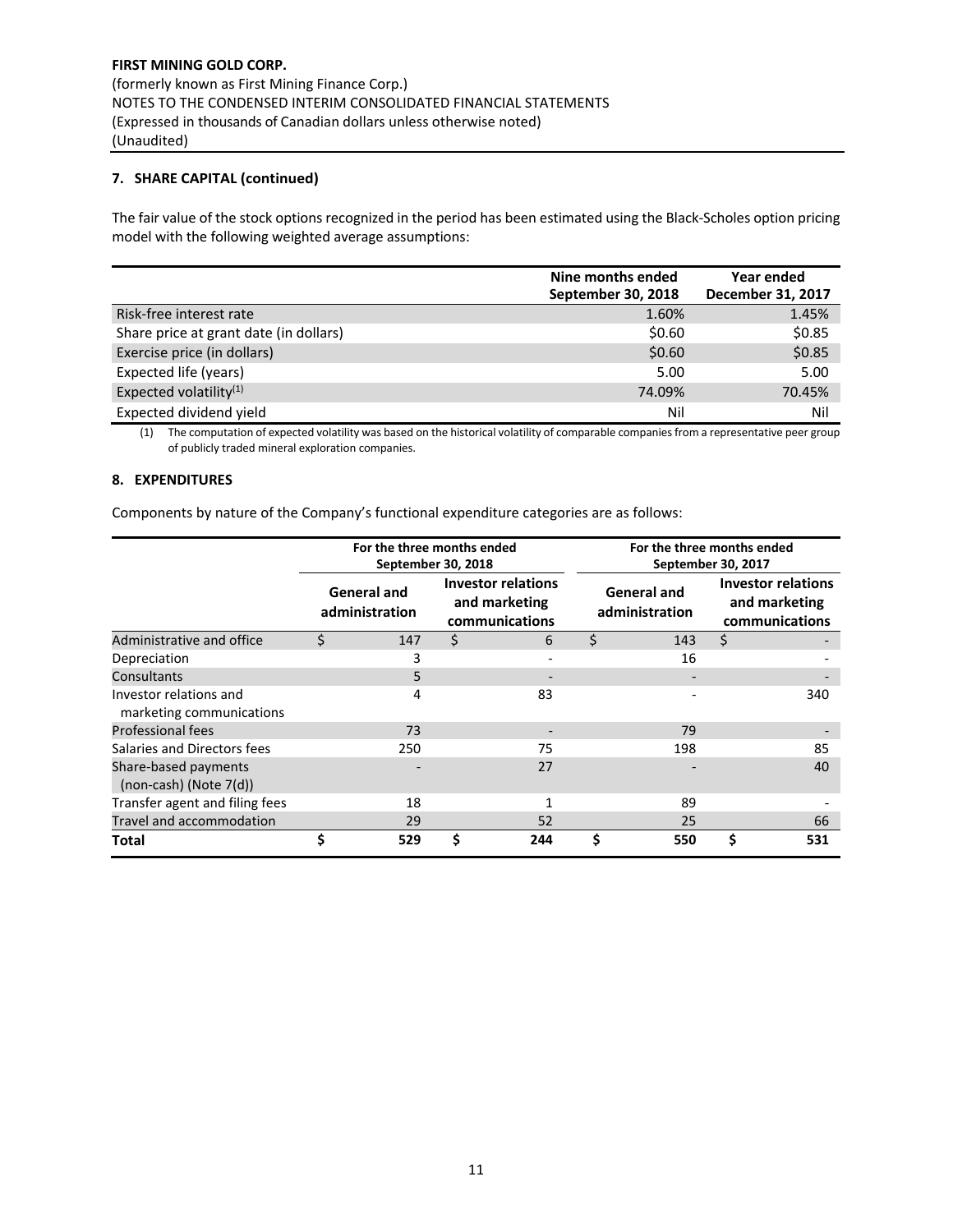# **7. SHARE CAPITAL (continued)**

The fair value of the stock options recognized in the period has been estimated using the Black‐Scholes option pricing model with the following weighted average assumptions:

|                                        | Nine months ended<br>September 30, 2018 | Year ended<br>December 31, 2017 |
|----------------------------------------|-----------------------------------------|---------------------------------|
| Risk-free interest rate                | 1.60%                                   | 1.45%                           |
| Share price at grant date (in dollars) | \$0.60                                  | \$0.85                          |
| Exercise price (in dollars)            | \$0.60                                  | \$0.85                          |
| Expected life (years)                  | 5.00                                    | 5.00                            |
| Expected volatility <sup>(1)</sup>     | 74.09%                                  | 70.45%                          |
| Expected dividend yield                | Nil                                     | Nil                             |

(1) The computation of expected volatility was based on the historical volatility of comparable companies from a representative peer group of publicly traded mineral exploration companies.

## **8. EXPENDITURES**

Components by nature of the Company's functional expenditure categories are as follows:

|                                                     |    | For the three months ended<br>September 30, 2018 |    |                                                              | For the three months ended<br>September 30, 2017 |                                                              |     |  |  |  |
|-----------------------------------------------------|----|--------------------------------------------------|----|--------------------------------------------------------------|--------------------------------------------------|--------------------------------------------------------------|-----|--|--|--|
|                                                     |    | <b>General and</b><br>administration             |    | <b>Investor relations</b><br>and marketing<br>communications | <b>General and</b><br>administration             | <b>Investor relations</b><br>and marketing<br>communications |     |  |  |  |
| Administrative and office                           | Ś  | 147                                              | \$ | 6                                                            | \$<br>143                                        | Ŝ.                                                           |     |  |  |  |
| Depreciation                                        |    | 3                                                |    |                                                              | 16                                               |                                                              |     |  |  |  |
| Consultants                                         |    | 5                                                |    |                                                              |                                                  |                                                              |     |  |  |  |
| Investor relations and<br>marketing communications  |    | 4                                                |    | 83                                                           |                                                  |                                                              | 340 |  |  |  |
| <b>Professional fees</b>                            |    | 73                                               |    |                                                              | 79                                               |                                                              |     |  |  |  |
| Salaries and Directors fees                         |    | 250                                              |    | 75                                                           | 198                                              |                                                              | 85  |  |  |  |
| Share-based payments<br>$(non-cash)$ (Note $7(d)$ ) |    |                                                  |    | 27                                                           |                                                  |                                                              | 40  |  |  |  |
| Transfer agent and filing fees                      |    | 18                                               |    |                                                              | 89                                               |                                                              |     |  |  |  |
| Travel and accommodation                            |    | 29                                               |    | 52                                                           | 25                                               |                                                              | 66  |  |  |  |
| Total                                               | \$ | 529                                              | Ś  | 244                                                          | \$<br>550                                        | \$                                                           | 531 |  |  |  |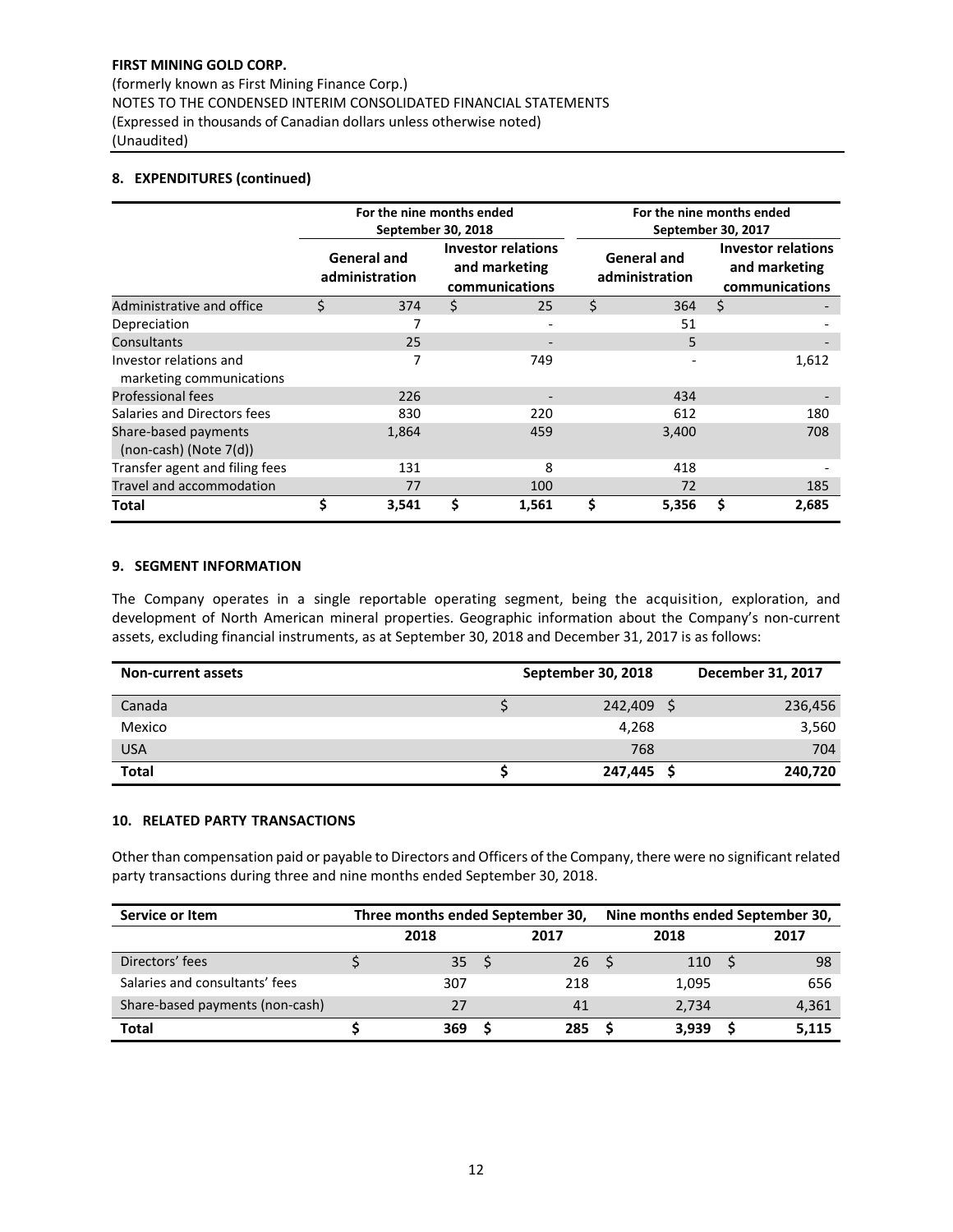(formerly known as First Mining Finance Corp.) NOTES TO THE CONDENSED INTERIM CONSOLIDATED FINANCIAL STATEMENTS (Expressed in thousands of Canadian dollars unless otherwise noted) (Unaudited)

# **8. EXPENDITURES (continued)**

|                                                     |    | For the nine months ended<br>September 30, 2018 |   |                                                              | For the nine months ended<br>September 30, 2017 |                                                              |       |  |  |  |
|-----------------------------------------------------|----|-------------------------------------------------|---|--------------------------------------------------------------|-------------------------------------------------|--------------------------------------------------------------|-------|--|--|--|
|                                                     |    | <b>General and</b><br>administration            |   | <b>Investor relations</b><br>and marketing<br>communications | <b>General and</b><br>administration            | <b>Investor relations</b><br>and marketing<br>communications |       |  |  |  |
| Administrative and office                           | Ś. | 374                                             | Ś | 25                                                           | \$<br>364                                       | \$                                                           |       |  |  |  |
| Depreciation                                        |    | 7                                               |   |                                                              | 51                                              |                                                              |       |  |  |  |
| Consultants                                         |    | 25                                              |   |                                                              | 5                                               |                                                              |       |  |  |  |
| Investor relations and<br>marketing communications  |    |                                                 |   | 749                                                          |                                                 |                                                              | 1,612 |  |  |  |
| <b>Professional fees</b>                            |    | 226                                             |   |                                                              | 434                                             |                                                              |       |  |  |  |
| Salaries and Directors fees                         |    | 830                                             |   | 220                                                          | 612                                             |                                                              | 180   |  |  |  |
| Share-based payments<br>$(non-cash)$ (Note $7(d)$ ) |    | 1,864                                           |   | 459                                                          | 3,400                                           |                                                              | 708   |  |  |  |
| Transfer agent and filing fees                      |    | 131                                             |   | 8                                                            | 418                                             |                                                              |       |  |  |  |
| Travel and accommodation                            |    | 77                                              |   | 100                                                          | 72                                              |                                                              | 185   |  |  |  |
| Total                                               | Ś  | 3,541                                           | Ś | 1,561                                                        | 5,356                                           | \$                                                           | 2,685 |  |  |  |

# **9. SEGMENT INFORMATION**

The Company operates in a single reportable operating segment, being the acquisition, exploration, and development of North American mineral properties. Geographic information about the Company's non-current assets, excluding financial instruments, as at September 30, 2018 and December 31, 2017 is as follows:

| <b>Non-current assets</b> | September 30, 2018 | December 31, 2017 |
|---------------------------|--------------------|-------------------|
| Canada                    | 242,409            | 236,456           |
| Mexico                    | 4,268              | 3,560             |
| <b>USA</b>                | 768                | 704               |
| <b>Total</b>              | 247,445            | 240,720           |

## **10. RELATED PARTY TRANSACTIONS**

Other than compensation paid or payable to Directors and Officers of the Company, there were no significant related party transactions during three and nine months ended September 30, 2018.

| Service or Item                 | Three months ended September 30, |  |           | Nine months ended September 30, |       |      |       |  |
|---------------------------------|----------------------------------|--|-----------|---------------------------------|-------|------|-------|--|
|                                 | 2018<br>2017                     |  |           |                                 | 2018  | 2017 |       |  |
| Directors' fees                 | 35 <sub>1</sub>                  |  | <b>26</b> |                                 | 110   |      | -98   |  |
| Salaries and consultants' fees  | 307                              |  | 218       |                                 | 1,095 |      | 656   |  |
| Share-based payments (non-cash) | 27                               |  | 41        |                                 | 2.734 |      | 4,361 |  |
| Total                           | 369                              |  | 285       |                                 | 3.939 |      | 5,115 |  |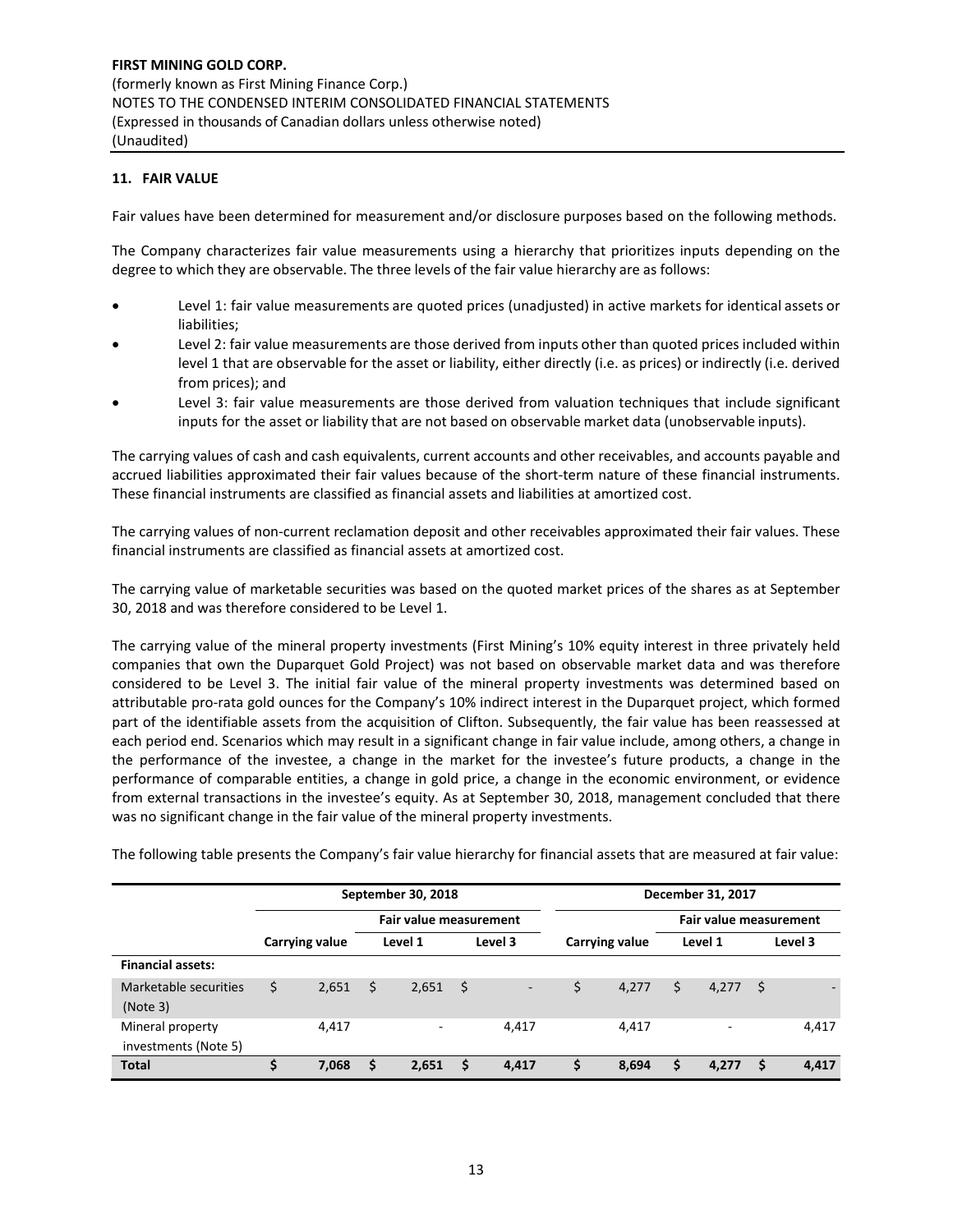# **11. FAIR VALUE**

Fair values have been determined for measurement and/or disclosure purposes based on the following methods.

The Company characterizes fair value measurements using a hierarchy that prioritizes inputs depending on the degree to which they are observable. The three levels of the fair value hierarchy are as follows:

- Level 1: fair value measurements are quoted prices (unadjusted) in active markets for identical assets or liabilities;
- Level 2: fair value measurements are those derived from inputs other than quoted prices included within level 1 that are observable for the asset or liability, either directly (i.e. as prices) or indirectly (i.e. derived from prices); and
- Level 3: fair value measurements are those derived from valuation techniques that include significant inputs for the asset or liability that are not based on observable market data (unobservable inputs).

The carrying values of cash and cash equivalents, current accounts and other receivables, and accounts payable and accrued liabilities approximated their fair values because of the short-term nature of these financial instruments. These financial instruments are classified as financial assets and liabilities at amortized cost.

The carrying values of non-current reclamation deposit and other receivables approximated their fair values. These financial instruments are classified as financial assets at amortized cost.

The carrying value of marketable securities was based on the quoted market prices of the shares as at September 30, 2018 and was therefore considered to be Level 1.

The carrying value of the mineral property investments (First Mining's 10% equity interest in three privately held companies that own the Duparquet Gold Project) was not based on observable market data and was therefore considered to be Level 3. The initial fair value of the mineral property investments was determined based on attributable pro-rata gold ounces for the Company's 10% indirect interest in the Duparquet project, which formed part of the identifiable assets from the acquisition of Clifton. Subsequently, the fair value has been reassessed at each period end. Scenarios which may result in a significant change in fair value include, among others, a change in the performance of the investee, a change in the market for the investee's future products, a change in the performance of comparable entities, a change in gold price, a change in the economic environment, or evidence from external transactions in the investee's equity. As at September 30, 2018, management concluded that there was no significant change in the fair value of the mineral property investments.

The following table presents the Company's fair value hierarchy for financial assets that are measured at fair value:

|                                          |    |                |    | September 30, 2018     |      | December 31, 2017        |                |       |                        |       |   |         |  |
|------------------------------------------|----|----------------|----|------------------------|------|--------------------------|----------------|-------|------------------------|-------|---|---------|--|
|                                          |    |                |    | Fair value measurement |      |                          |                |       | Fair value measurement |       |   |         |  |
|                                          |    | Carrying value |    | Level 1                |      | Level 3                  | Carrying value |       | Level 1                |       |   | Level 3 |  |
| <b>Financial assets:</b>                 |    |                |    |                        |      |                          |                |       |                        |       |   |         |  |
| Marketable securities<br>(Note 3)        | \$ | 2,651          | \$ | 2,651                  | - \$ | $\overline{\phantom{a}}$ | \$             | 4,277 | \$                     | 4,277 | S |         |  |
| Mineral property<br>investments (Note 5) |    | 4,417          |    | ۰                      |      | 4,417                    |                | 4,417 |                        | ۰     |   | 4,417   |  |
| <b>Total</b>                             |    | 7,068          | S  | 2,651                  | S    | 4,417                    |                | 8,694 | S                      | 4,277 | S | 4,417   |  |